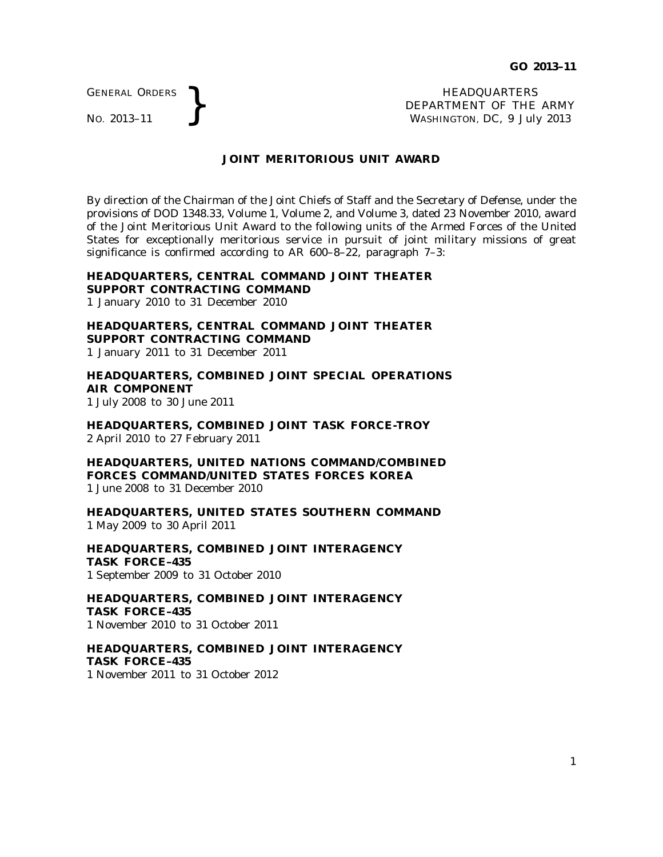GENERAL ORDERS

GENERAL ORDERS **REAL ORDERS** HEADQUARTERS **HEADQUARTERS HEADQUARTERS DEPARTMENT** OF THE **WASHINGTON, DC,**  $9$  July DEPARTMENT OF THE ARMY WASHINGTON, DC, *9 July 2013*

#### **JOINT MERITORIOUS UNIT AWARD**

By direction of the Chairman of the Joint Chiefs of Staff and the Secretary of Defense, under the provisions of DOD 1348.33, Volume 1, Volume 2, and Volume 3, dated 23 November 2010, award of the Joint Meritorious Unit Award to the following units of the Armed Forces of the United States for exceptionally meritorious service in pursuit of joint military missions of great significance is confirmed according to AR 600–8–22, paragraph 7–3:

# **HEADQUARTERS, CENTRAL COMMAND JOINT THEATER SUPPORT CONTRACTING COMMAND**

1 January 2010 to 31 December 2010

**HEADQUARTERS, CENTRAL COMMAND JOINT THEATER SUPPORT CONTRACTING COMMAND** 1 January 2011 to 31 December 2011

**HEADQUARTERS, COMBINED JOINT SPECIAL OPERATIONS AIR COMPONENT** 1 July 2008 to 30 June 2011

**HEADQUARTERS, COMBINED JOINT TASK FORCE-TROY** 2 April 2010 to 27 February 2011

**HEADQUARTERS, UNITED NATIONS COMMAND/COMBINED FORCES COMMAND/UNITED STATES FORCES KOREA** 1 June 2008 to 31 December 2010

**HEADQUARTERS, UNITED STATES SOUTHERN COMMAND** 1 May 2009 to 30 April 2011

**HEADQUARTERS, COMBINED JOINT INTERAGENCY TASK FORCE–435** 1 September 2009 to 31 October 2010

**HEADQUARTERS, COMBINED JOINT INTERAGENCY TASK FORCE–435** 1 November 2010 to 31 October 2011

**HEADQUARTERS, COMBINED JOINT INTERAGENCY TASK FORCE–435** 1 November 2011 to 31 October 2012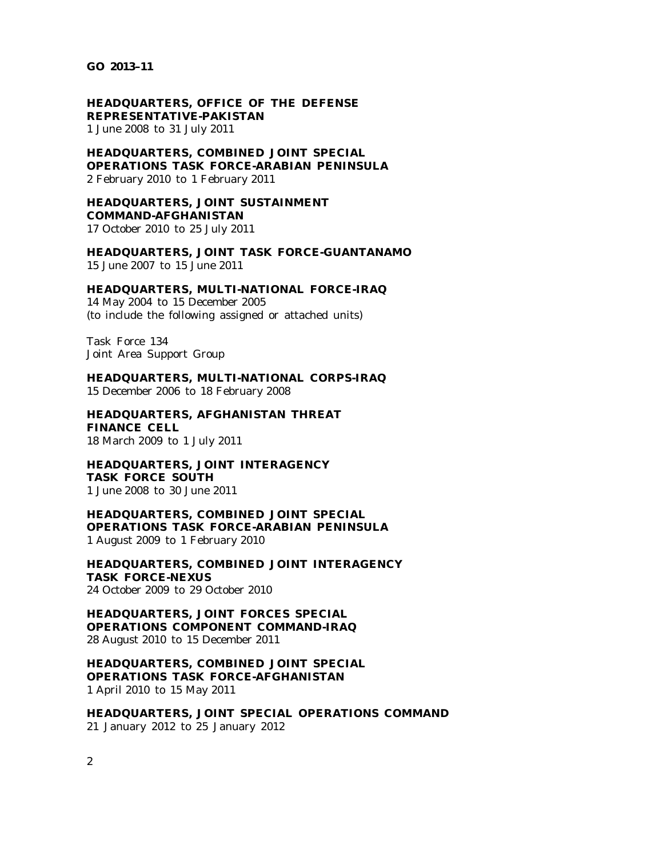**GO 2013–11**

**HEADQUARTERS, OFFICE OF THE DEFENSE REPRESENTATIVE-PAKISTAN** 1 June 2008 to 31 July 2011

**HEADQUARTERS, COMBINED JOINT SPECIAL OPERATIONS TASK FORCE-ARABIAN PENINSULA** 2 February 2010 to 1 February 2011

**HEADQUARTERS, JOINT SUSTAINMENT COMMAND-AFGHANISTAN** 17 October 2010 to 25 July 2011

**HEADQUARTERS, JOINT TASK FORCE-GUANTANAMO** 15 June 2007 to 15 June 2011

**HEADQUARTERS, MULTI-NATIONAL FORCE-IRAQ**

14 May 2004 to 15 December 2005 (to include the following assigned or attached units)

Task Force 134 Joint Area Support Group

**HEADQUARTERS, MULTI-NATIONAL CORPS-IRAQ** 15 December 2006 to 18 February 2008

**HEADQUARTERS, AFGHANISTAN THREAT FINANCE CELL** 18 March 2009 to 1 July 2011

**HEADQUARTERS, JOINT INTERAGENCY TASK FORCE SOUTH** 1 June 2008 to 30 June 2011

**HEADQUARTERS, COMBINED JOINT SPECIAL OPERATIONS TASK FORCE-ARABIAN PENINSULA** 1 August 2009 to 1 February 2010

**HEADQUARTERS, COMBINED JOINT INTERAGENCY TASK FORCE-NEXUS** 24 October 2009 to 29 October 2010

**HEADQUARTERS, JOINT FORCES SPECIAL OPERATIONS COMPONENT COMMAND-IRAQ** 28 August 2010 to 15 December 2011

**HEADQUARTERS, COMBINED JOINT SPECIAL OPERATIONS TASK FORCE-AFGHANISTAN** 1 April 2010 to 15 May 2011

**HEADQUARTERS, JOINT SPECIAL OPERATIONS COMMAND** 21 January 2012 to 25 January 2012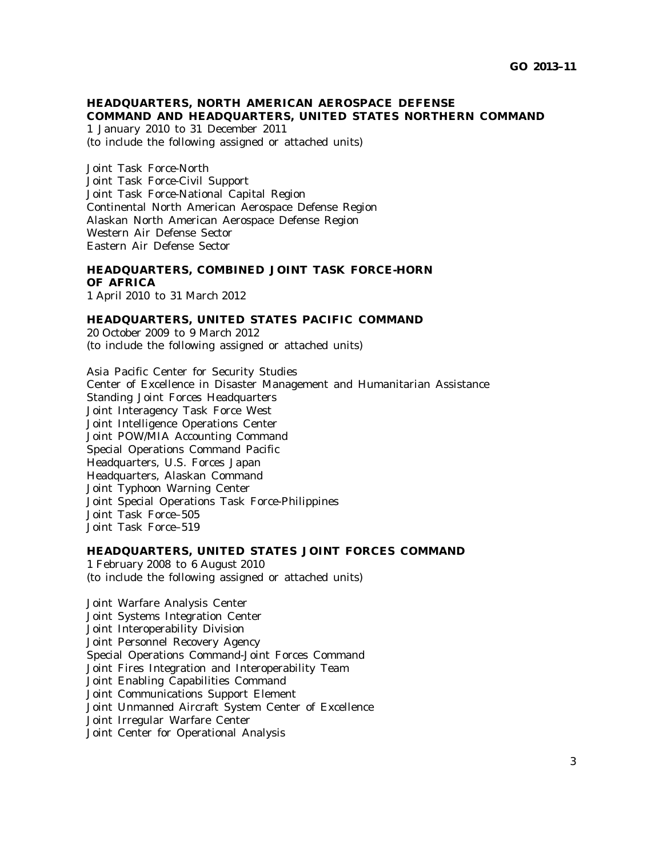# **HEADQUARTERS, NORTH AMERICAN AEROSPACE DEFENSE COMMAND AND HEADQUARTERS, UNITED STATES NORTHERN COMMAND**

1 January 2010 to 31 December 2011 (to include the following assigned or attached units)

Joint Task Force-North Joint Task Force-Civil Support Joint Task Force-National Capital Region Continental North American Aerospace Defense Region Alaskan North American Aerospace Defense Region Western Air Defense Sector Eastern Air Defense Sector

## **HEADQUARTERS, COMBINED JOINT TASK FORCE-HORN OF AFRICA**

1 April 2010 to 31 March 2012

### **HEADQUARTERS, UNITED STATES PACIFIC COMMAND**

20 October 2009 to 9 March 2012 (to include the following assigned or attached units)

Asia Pacific Center for Security Studies Center of Excellence in Disaster Management and Humanitarian Assistance Standing Joint Forces Headquarters Joint Interagency Task Force West Joint Intelligence Operations Center Joint POW/MIA Accounting Command Special Operations Command Pacific Headquarters, U.S. Forces Japan Headquarters, Alaskan Command Joint Typhoon Warning Center Joint Special Operations Task Force-Philippines Joint Task Force–505 Joint Task Force–519

#### **HEADQUARTERS, UNITED STATES JOINT FORCES COMMAND**

1 February 2008 to 6 August 2010 (to include the following assigned or attached units)

Joint Warfare Analysis Center Joint Systems Integration Center Joint Interoperability Division Joint Personnel Recovery Agency Special Operations Command-Joint Forces Command Joint Fires Integration and Interoperability Team Joint Enabling Capabilities Command Joint Communications Support Element Joint Unmanned Aircraft System Center of Excellence Joint Irregular Warfare Center Joint Center for Operational Analysis